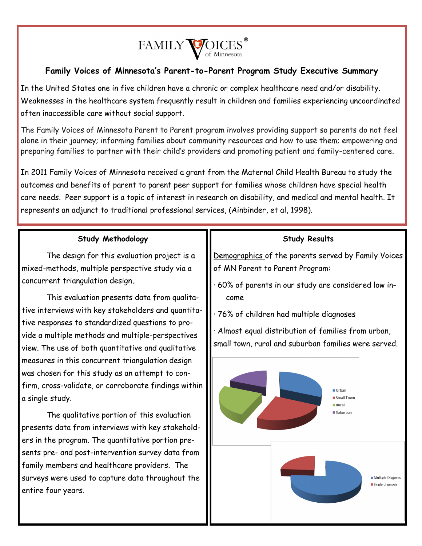

## **Family Voices of Minnesota's Parent-to-Parent Program Study Executive Summary**

In the United States one in five children have a chronic or complex healthcare need and/or disability. Weaknesses in the healthcare system frequently result in children and families experiencing uncoordinated often inaccessible care without social support.

The Family Voices of Minnesota Parent to Parent program involves providing support so parents do not feel alone in their journey; informing families about community resources and how to use them; empowering and preparing families to partner with their child's providers and promoting patient and family-centered care.

In 2011 Family Voices of Minnesota received a grant from the Maternal Child Health Bureau to study the outcomes and benefits of parent to parent peer support for families whose children have special health care needs. Peer support is a topic of interest in research on disability, and medical and mental health. It represents an adjunct to traditional professional services, (Ainbinder, et al, 1998).

## **Study Methodology**

The design for this evaluation project is a mixed-methods, multiple perspective study via a concurrent triangulation design**.** 

This evaluation presents data from qualitative interviews with key stakeholders and quantitative responses to standardized questions to provide a multiple methods and multiple-perspectives view. The use of both quantitative and qualitative measures in this concurrent triangulation design was chosen for this study as an attempt to confirm, cross-validate, or corroborate findings within a single study.

The qualitative portion of this evaluation presents data from interviews with key stakeholders in the program. The quantitative portion presents pre- and post-intervention survey data from family members and healthcare providers. The surveys were used to capture data throughout the entire four years.

## **Study Results**

Demographics of the parents served by Family Voices of MN Parent to Parent Program:

- · 60% of parents in our study are considered low income
- · 76% of children had multiple diagnoses

· Almost equal distribution of families from urban, small town, rural and suburban families were served.